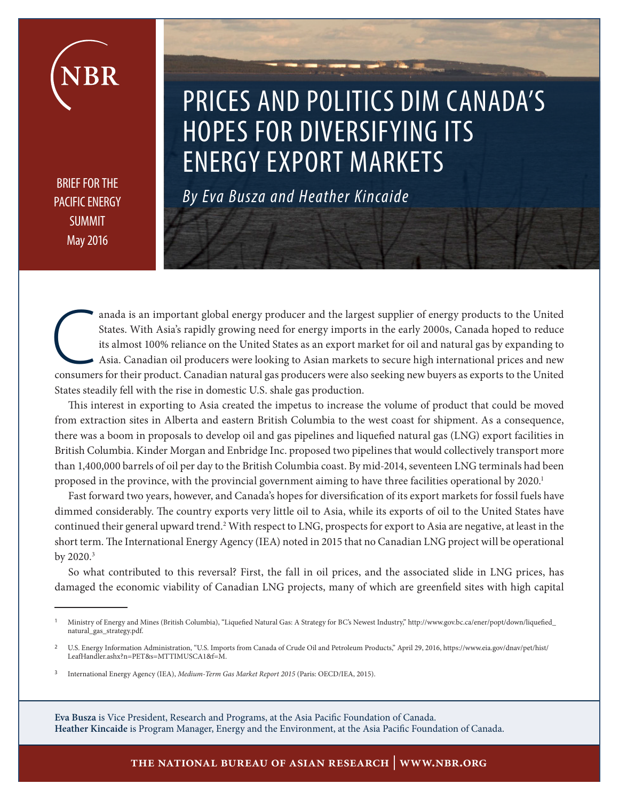BRIEF FOR THE PACIFIC ENERGY SUMMIT May 2016

# PRICES AND POLITICS DIM CANADA'S HOPES FOR DIVERSIFYING ITS ENERGY EXPORT MARKETS

*By Eva Busza and Heather Kincaide* 

anada is an important global energy producer and the largest supplier of energy products to the United States. With Asia's rapidly growing need for energy imports in the early 2000s, Canada hoped to reduce its almost 100% States. With Asia's rapidly growing need for energy imports in the early 2000s, Canada hoped to reduce its almost 100% reliance on the United States as an export market for oil and natural gas by expanding to Asia. Canadian oil producers were looking to Asian markets to secure high international prices and new States steadily fell with the rise in domestic U.S. shale gas production.

This interest in exporting to Asia created the impetus to increase the volume of product that could be moved from extraction sites in Alberta and eastern British Columbia to the west coast for shipment. As a consequence, there was a boom in proposals to develop oil and gas pipelines and liquefied natural gas (LNG) export facilities in British Columbia. Kinder Morgan and Enbridge Inc. proposed two pipelines that would collectively transport more than 1,400,000 barrels of oil per day to the British Columbia coast. By mid-2014, seventeen LNG terminals had been proposed in the province, with the provincial government aiming to have three facilities operational by 2020.<sup>1</sup>

Fast forward two years, however, and Canada's hopes for diversification of its export markets for fossil fuels have dimmed considerably. The country exports very little oil to Asia, while its exports of oil to the United States have continued their general upward trend.<sup>2</sup> With respect to LNG, prospects for export to Asia are negative, at least in the short term. The International Energy Agency (IEA) noted in 2015 that no Canadian LNG project will be operational by 2020. $^3$ 

So what contributed to this reversal? First, the fall in oil prices, and the associated slide in LNG prices, has damaged the economic viability of Canadian LNG projects, many of which are greenfield sites with high capital

**Eva Busza** is Vice President, Research and Programs, at the Asia Pacific Foundation of Canada. **Heather Kincaide** is Program Manager, Energy and the Environment, at the Asia Pacific Foundation of Canada.

<sup>1</sup>Ministry of Energy and Mines (British Columbia), "Liquefied Natural Gas: A Strategy for BC's Newest Industry," http://www.gov.bc.ca/ener/popt/down/liquefied\_ natural\_gas\_strategy.pdf.

<sup>2</sup>U.S. Energy Information Administration, "U.S. Imports from Canada of Crude Oil and Petroleum Products," April 29, 2016, https://www.eia.gov/dnav/pet/hist/ LeafHandler.ashx?n=PET&s=MTTIMUSCA1&f=M.

<sup>3</sup>International Energy Agency (IEA), *Medium-Term Gas Market Report 2015* (Paris: OECD/IEA, 2015).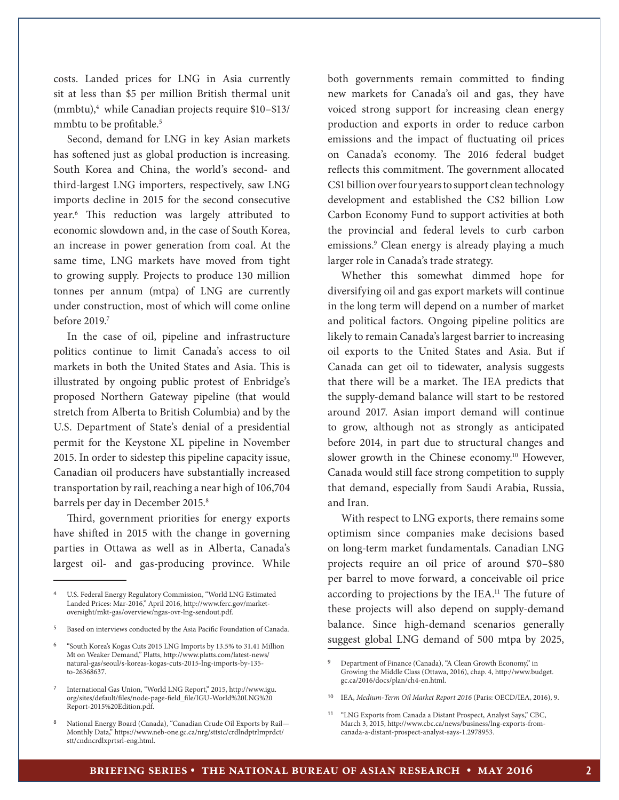costs. Landed prices for LNG in Asia currently sit at less than \$5 per million British thermal unit (mmbtu),<sup>4</sup> while Canadian projects require \$10-\$13/ mmbtu to be profitable.<sup>5</sup>

Second, demand for LNG in key Asian markets has softened just as global production is increasing. South Korea and China, the world's second- and third-largest LNG importers, respectively, saw LNG imports decline in 2015 for the second consecutive year.6 This reduction was largely attributed to economic slowdown and, in the case of South Korea, an increase in power generation from coal. At the same time, LNG markets have moved from tight to growing supply. Projects to produce 130 million tonnes per annum (mtpa) of LNG are currently under construction, most of which will come online before 2019.<sup>7</sup>

In the case of oil, pipeline and infrastructure politics continue to limit Canada's access to oil markets in both the United States and Asia. This is illustrated by ongoing public protest of Enbridge's proposed Northern Gateway pipeline (that would stretch from Alberta to British Columbia) and by the U.S. Department of State's denial of a presidential permit for the Keystone XL pipeline in November 2015. In order to sidestep this pipeline capacity issue, Canadian oil producers have substantially increased transportation by rail, reaching a near high of 106,704 barrels per day in December 2015.<sup>8</sup>

Third, government priorities for energy exports have shifted in 2015 with the change in governing parties in Ottawa as well as in Alberta, Canada's largest oil- and gas-producing province. While

<sup>5</sup>Based on interviews conducted by the Asia Pacific Foundation of Canada.

both governments remain committed to finding new markets for Canada's oil and gas, they have voiced strong support for increasing clean energy production and exports in order to reduce carbon emissions and the impact of fluctuating oil prices on Canada's economy. The 2016 federal budget reflects this commitment. The government allocated C\$1 billion over four years to support clean technology development and established the C\$2 billion Low Carbon Economy Fund to support activities at both the provincial and federal levels to curb carbon emissions.9 Clean energy is already playing a much larger role in Canada's trade strategy.

Whether this somewhat dimmed hope for diversifying oil and gas export markets will continue in the long term will depend on a number of market and political factors. Ongoing pipeline politics are likely to remain Canada's largest barrier to increasing oil exports to the United States and Asia. But if Canada can get oil to tidewater, analysis suggests that there will be a market. The IEA predicts that the supply-demand balance will start to be restored around 2017. Asian import demand will continue to grow, although not as strongly as anticipated before 2014, in part due to structural changes and slower growth in the Chinese economy.<sup>10</sup> However, Canada would still face strong competition to supply that demand, especially from Saudi Arabia, Russia, and Iran.

With respect to LNG exports, there remains some optimism since companies make decisions based on long-term market fundamentals. Canadian LNG projects require an oil price of around \$70–\$80 per barrel to move forward, a conceivable oil price according to projections by the IEA.<sup>11</sup> The future of these projects will also depend on supply-demand balance. Since high-demand scenarios generally suggest global LNG demand of 500 mtpa by 2025,

<sup>4</sup>U.S. Federal Energy Regulatory Commission, "World LNG Estimated Landed Prices: Mar-2016," April 2016, http://www.ferc.gov/marketoversight/mkt-gas/overview/ngas-ovr-lng-sendout.pdf.

<sup>6</sup>"South Korea's Kogas Cuts 2015 LNG Imports by 13.5% to 31.41 Million Mt on Weaker Demand," Platts, http://www.platts.com/latest-news/ natural-gas/seoul/s-koreas-kogas-cuts-2015-lng-imports-by-135 to-26368637.

<sup>7</sup>International Gas Union, "World LNG Report," 2015, http://www.igu. org/sites/default/files/node-page-field\_file/IGU-World%20LNG%20 Report-2015%20Edition.pdf.

<sup>8</sup>National Energy Board (Canada), "Canadian Crude Oil Exports by Rail— Monthly Data," https://www.neb-one.gc.ca/nrg/sttstc/crdlndptrlmprdct/ stt/cndncrdlxprtsrl-eng.html.

<sup>9</sup> Department of Finance (Canada), "A Clean Growth Economy," in Growing the Middle Class (Ottawa, 2016), chap. 4, http://www.budget. gc.ca/2016/docs/plan/ch4-en.html.

<sup>&</sup>lt;sup>10</sup> IEA, *Medium-Term Oil Market Report 2016* (Paris: OECD/IEA, 2016), 9.

<sup>&</sup>lt;sup>11</sup> "LNG Exports from Canada a Distant Prospect, Analyst Says," CBC, March 3, 2015, http://www.cbc.ca/news/business/lng-exports-fromcanada-a-distant-prospect-analyst-says-1.2978953.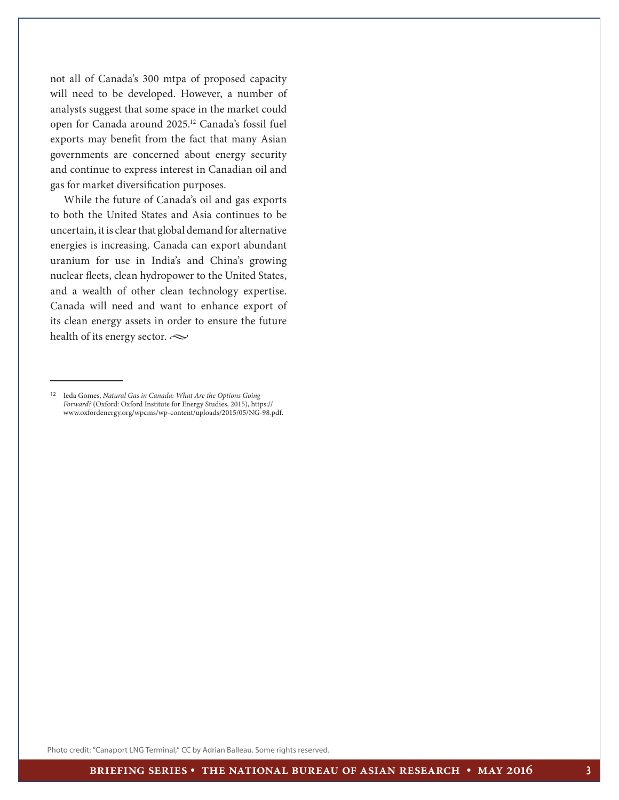not all of Canada's 300 mtpa of proposed capacity will need to be developed. However, a number of analysts suggest that some space in the market could open for Canada around 2025.12 Canada's fossil fuel exports may benefit from the fact that many Asian governments are concerned about energy security and continue to express interest in Canadian oil and gas for market diversification purposes.

While the future of Canada's oil and gas exports to both the United States and Asia continues to be uncertain, it is clear that global demand for alternative energies is increasing. Canada can export abundant uranium for use in India's and China's growing nuclear fleets, clean hydropower to the United States, and a wealth of other clean technology expertise. Canada will need and want to enhance export of its clean energy assets in order to ensure the future health of its energy sector.  $\sim$ 

Photo credit: ["Canaport LNG Terminal," CC by](https://www.flickr.com/photos/ashwincjohn/16407777033/in/photolist-qZU9tt-5RL3r4-yKLjR-fbQ1xT-fbQ2fv-7B8y58-4EATmj-9ywLHS-uPW6Q-fiUeke-dNGLKf-9qNUnG-A2FtW-kUeFKW-8SV7kZ-94Hgne-nGdAy1-rnCnP-46Yb8Y-dNHNVW-kUf3LU-9qM1Hp-fDda87-8KXYkk-oLvrnH-meEeME-3XH93Q-pA8c7i-7HvYtJ-h5i8-55M4cv-4FTo1m-5P8KJA-qRwNWR-Aw3Ri-dNHgYN-dLChn8-344n6y-6zcRw5-fiUgTZ-x58Ti-xopv9-aCM7g3-5CdtDH-9N3d54-c1uVEY-2aBCRQ-fiTZKT-k95MfW-j1hYt) Adrian Balleau. Some rights reserved.

<sup>&</sup>lt;sup>12</sup> Ieda Gomes, *Natural Gas in Canada: What Are the Options Going Forward?* (Oxford: Oxford Institute for Energy Studies, 2015), https:// www.oxfordenergy.org/wpcms/wp-content/uploads/2015/05/NG-98.pdf.